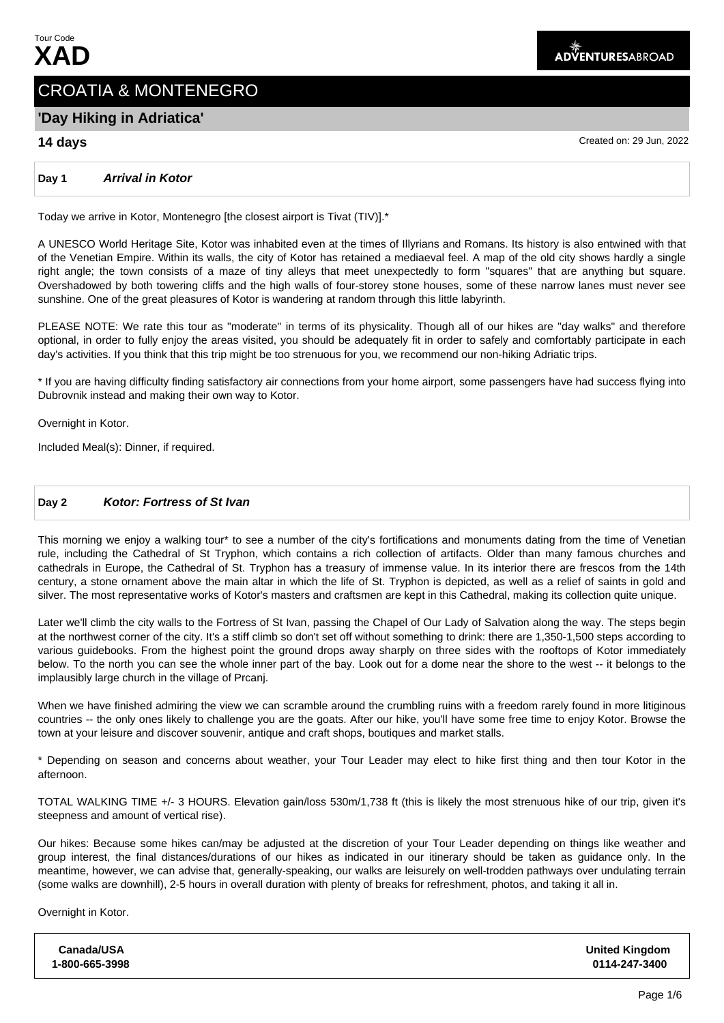# CROATIA & MONTENEGRO

## **'Day Hiking in Adriatica'**

**14 days** Created on: 29 Jun, 2022

#### **Day 1 Arrival in Kotor**

Today we arrive in Kotor, Montenegro [the closest airport is Tivat (TIV)].\*

A UNESCO World Heritage Site, Kotor was inhabited even at the times of Illyrians and Romans. Its history is also entwined with that of the Venetian Empire. Within its walls, the city of Kotor has retained a mediaeval feel. A map of the old city shows hardly a single right angle; the town consists of a maze of tiny alleys that meet unexpectedly to form "squares" that are anything but square. Overshadowed by both towering cliffs and the high walls of four-storey stone houses, some of these narrow lanes must never see sunshine. One of the great pleasures of Kotor is wandering at random through this little labyrinth.

PLEASE NOTE: We rate this tour as "moderate" in terms of its physicality. Though all of our hikes are "day walks" and therefore optional, in order to fully enjoy the areas visited, you should be adequately fit in order to safely and comfortably participate in each day's activities. If you think that this trip might be too strenuous for you, we recommend our non-hiking Adriatic trips.

\* If you are having difficulty finding satisfactory air connections from your home airport, some passengers have had success flying into Dubrovnik instead and making their own way to Kotor.

Overnight in Kotor.

Included Meal(s): Dinner, if required.

### **Day 2 Kotor: Fortress of St Ivan**

This morning we enjoy a walking tour\* to see a number of the city's fortifications and monuments dating from the time of Venetian rule, including the Cathedral of St Tryphon, which contains a rich collection of artifacts. Older than many famous churches and cathedrals in Europe, the Cathedral of St. Tryphon has a treasury of immense value. In its interior there are frescos from the 14th century, a stone ornament above the main altar in which the life of St. Tryphon is depicted, as well as a relief of saints in gold and silver. The most representative works of Kotor's masters and craftsmen are kept in this Cathedral, making its collection quite unique.

Later we'll climb the city walls to the Fortress of St Ivan, passing the Chapel of Our Lady of Salvation along the way. The steps begin at the northwest corner of the city. It's a stiff climb so don't set off without something to drink: there are 1,350-1,500 steps according to various guidebooks. From the highest point the ground drops away sharply on three sides with the rooftops of Kotor immediately below. To the north you can see the whole inner part of the bay. Look out for a dome near the shore to the west -- it belongs to the implausibly large church in the village of Prcanj.

When we have finished admiring the view we can scramble around the crumbling ruins with a freedom rarely found in more litiginous countries -- the only ones likely to challenge you are the goats. After our hike, you'll have some free time to enjoy Kotor. Browse the town at your leisure and discover souvenir, antique and craft shops, boutiques and market stalls.

\* Depending on season and concerns about weather, your Tour Leader may elect to hike first thing and then tour Kotor in the afternoon.

TOTAL WALKING TIME +/- 3 HOURS. Elevation gain/loss 530m/1,738 ft (this is likely the most strenuous hike of our trip, given it's steepness and amount of vertical rise).

Our hikes: Because some hikes can/may be adjusted at the discretion of your Tour Leader depending on things like weather and group interest, the final distances/durations of our hikes as indicated in our itinerary should be taken as guidance only. In the meantime, however, we can advise that, generally-speaking, our walks are leisurely on well-trodden pathways over undulating terrain (some walks are downhill), 2-5 hours in overall duration with plenty of breaks for refreshment, photos, and taking it all in.

Overnight in Kotor.

| Canada/USA     | <b>United Kingdom</b> |
|----------------|-----------------------|
| 1-800-665-3998 | 0114-247-3400         |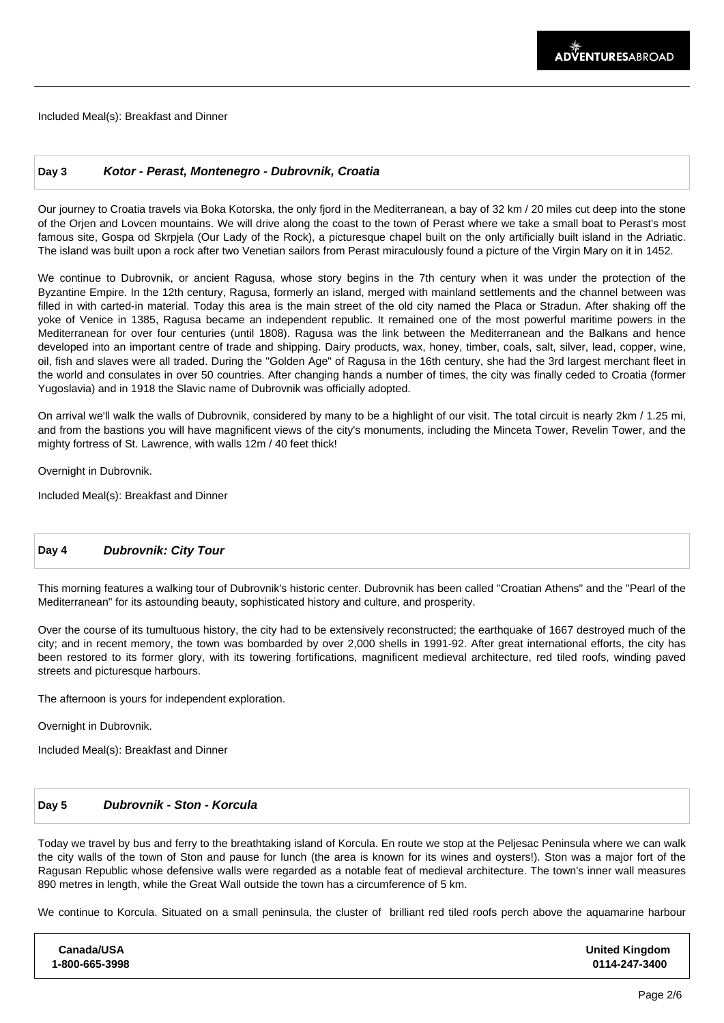Included Meal(s): Breakfast and Dinner

#### **Day 3 Kotor - Perast, Montenegro - Dubrovnik, Croatia**

Our journey to Croatia travels via Boka Kotorska, the only fjord in the Mediterranean, a bay of 32 km / 20 miles cut deep into the stone of the Orjen and Lovcen mountains. We will drive along the coast to the town of Perast where we take a small boat to Perast's most famous site, Gospa od Skrpjela (Our Lady of the Rock), a picturesque chapel built on the only artificially built island in the Adriatic. The island was built upon a rock after two Venetian sailors from Perast miraculously found a picture of the Virgin Mary on it in 1452.

We continue to Dubrovnik, or ancient Ragusa, whose story begins in the 7th century when it was under the protection of the Byzantine Empire. In the 12th century, Ragusa, formerly an island, merged with mainland settlements and the channel between was filled in with carted-in material. Today this area is the main street of the old city named the Placa or Stradun. After shaking off the yoke of Venice in 1385, Ragusa became an independent republic. It remained one of the most powerful maritime powers in the Mediterranean for over four centuries (until 1808). Ragusa was the link between the Mediterranean and the Balkans and hence developed into an important centre of trade and shipping. Dairy products, wax, honey, timber, coals, salt, silver, lead, copper, wine, oil, fish and slaves were all traded. During the "Golden Age" of Ragusa in the 16th century, she had the 3rd largest merchant fleet in the world and consulates in over 50 countries. After changing hands a number of times, the city was finally ceded to Croatia (former Yugoslavia) and in 1918 the Slavic name of Dubrovnik was officially adopted.

On arrival we'll walk the walls of Dubrovnik, considered by many to be a highlight of our visit. The total circuit is nearly 2km / 1.25 mi, and from the bastions you will have magnificent views of the city's monuments, including the Minceta Tower, Revelin Tower, and the mighty fortress of St. Lawrence, with walls 12m / 40 feet thick!

Overnight in Dubrovnik.

Included Meal(s): Breakfast and Dinner

#### **Day 4 Dubrovnik: City Tour**

This morning features a walking tour of Dubrovnik's historic center. Dubrovnik has been called "Croatian Athens" and the "Pearl of the Mediterranean" for its astounding beauty, sophisticated history and culture, and prosperity.

Over the course of its tumultuous history, the city had to be extensively reconstructed; the earthquake of 1667 destroyed much of the city; and in recent memory, the town was bombarded by over 2,000 shells in 1991-92. After great international efforts, the city has been restored to its former glory, with its towering fortifications, magnificent medieval architecture, red tiled roofs, winding paved streets and picturesque harbours.

The afternoon is yours for independent exploration.

Overnight in Dubrovnik.

Included Meal(s): Breakfast and Dinner

#### **Day 5 Dubrovnik - Ston - Korcula**

Today we travel by bus and ferry to the breathtaking island of Korcula. En route we stop at the Peljesac Peninsula where we can walk the city walls of the town of Ston and pause for lunch (the area is known for its wines and oysters!). Ston was a major fort of the Ragusan Republic whose defensive walls were regarded as a notable feat of medieval architecture. The town's inner wall measures 890 metres in length, while the Great Wall outside the town has a circumference of 5 km.

We continue to Korcula. Situated on a small peninsula, the cluster of brilliant red tiled roofs perch above the aquamarine harbour

| Canada/USA     | <b>United Kingdom</b> |
|----------------|-----------------------|
| 1-800-665-3998 | 0114-247-3400         |
|                |                       |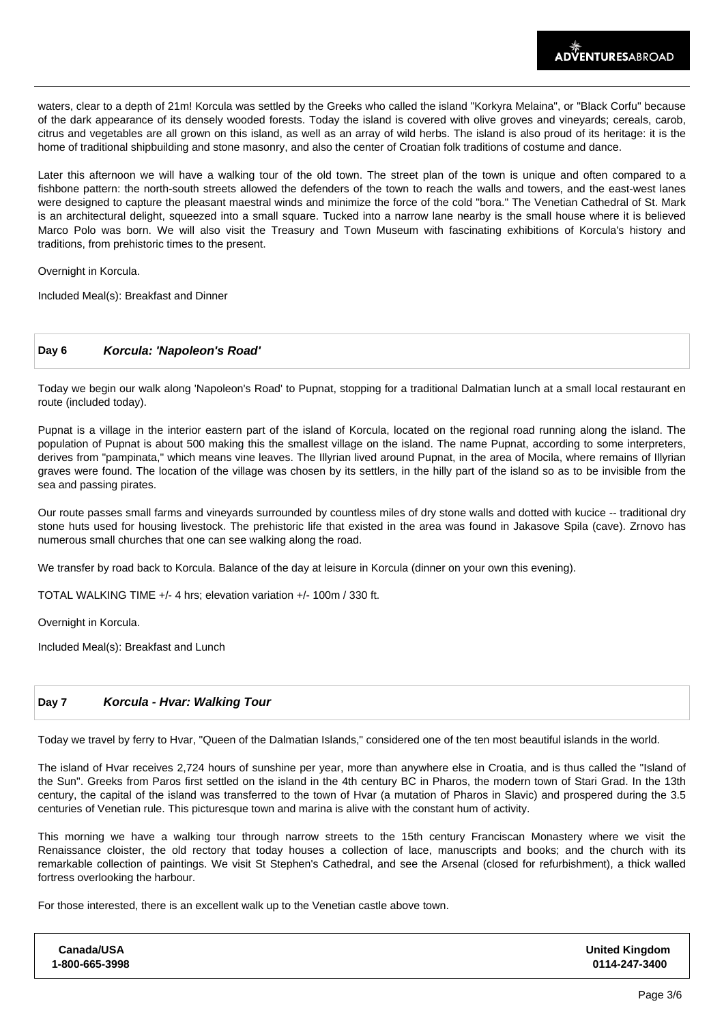waters, clear to a depth of 21m! Korcula was settled by the Greeks who called the island "Korkyra Melaina", or "Black Corfu" because of the dark appearance of its densely wooded forests. Today the island is covered with olive groves and vineyards; cereals, carob, citrus and vegetables are all grown on this island, as well as an array of wild herbs. The island is also proud of its heritage: it is the home of traditional shipbuilding and stone masonry, and also the center of Croatian folk traditions of costume and dance.

Later this afternoon we will have a walking tour of the old town. The street plan of the town is unique and often compared to a fishbone pattern: the north-south streets allowed the defenders of the town to reach the walls and towers, and the east-west lanes were designed to capture the pleasant maestral winds and minimize the force of the cold "bora." The Venetian Cathedral of St. Mark is an architectural delight, squeezed into a small square. Tucked into a narrow lane nearby is the small house where it is believed Marco Polo was born. We will also visit the Treasury and Town Museum with fascinating exhibitions of Korcula's history and traditions, from prehistoric times to the present.

Overnight in Korcula.

Included Meal(s): Breakfast and Dinner

#### **Day 6 Korcula: 'Napoleon's Road'**

Today we begin our walk along 'Napoleon's Road' to Pupnat, stopping for a traditional Dalmatian lunch at a small local restaurant en route (included today).

Pupnat is a village in the interior eastern part of the island of Korcula, located on the regional road running along the island. The population of Pupnat is about 500 making this the smallest village on the island. The name Pupnat, according to some interpreters, derives from "pampinata," which means vine leaves. The Illyrian lived around Pupnat, in the area of Mocila, where remains of Illyrian graves were found. The location of the village was chosen by its settlers, in the hilly part of the island so as to be invisible from the sea and passing pirates.

Our route passes small farms and vineyards surrounded by countless miles of dry stone walls and dotted with kucice -- traditional dry stone huts used for housing livestock. The prehistoric life that existed in the area was found in Jakasove Spila (cave). Zrnovo has numerous small churches that one can see walking along the road.

We transfer by road back to Korcula. Balance of the day at leisure in Korcula (dinner on your own this evening).

TOTAL WALKING TIME +/- 4 hrs; elevation variation +/- 100m / 330 ft.

Overnight in Korcula.

Included Meal(s): Breakfast and Lunch

#### **Day 7 Korcula - Hvar: Walking Tour**

Today we travel by ferry to Hvar, "Queen of the Dalmatian Islands," considered one of the ten most beautiful islands in the world.

The island of Hvar receives 2,724 hours of sunshine per year, more than anywhere else in Croatia, and is thus called the "Island of the Sun". Greeks from Paros first settled on the island in the 4th century BC in Pharos, the modern town of Stari Grad. In the 13th century, the capital of the island was transferred to the town of Hvar (a mutation of Pharos in Slavic) and prospered during the 3.5 centuries of Venetian rule. This picturesque town and marina is alive with the constant hum of activity.

This morning we have a walking tour through narrow streets to the 15th century Franciscan Monastery where we visit the Renaissance cloister, the old rectory that today houses a collection of lace, manuscripts and books; and the church with its remarkable collection of paintings. We visit St Stephen's Cathedral, and see the Arsenal (closed for refurbishment), a thick walled fortress overlooking the harbour.

For those interested, there is an excellent walk up to the Venetian castle above town.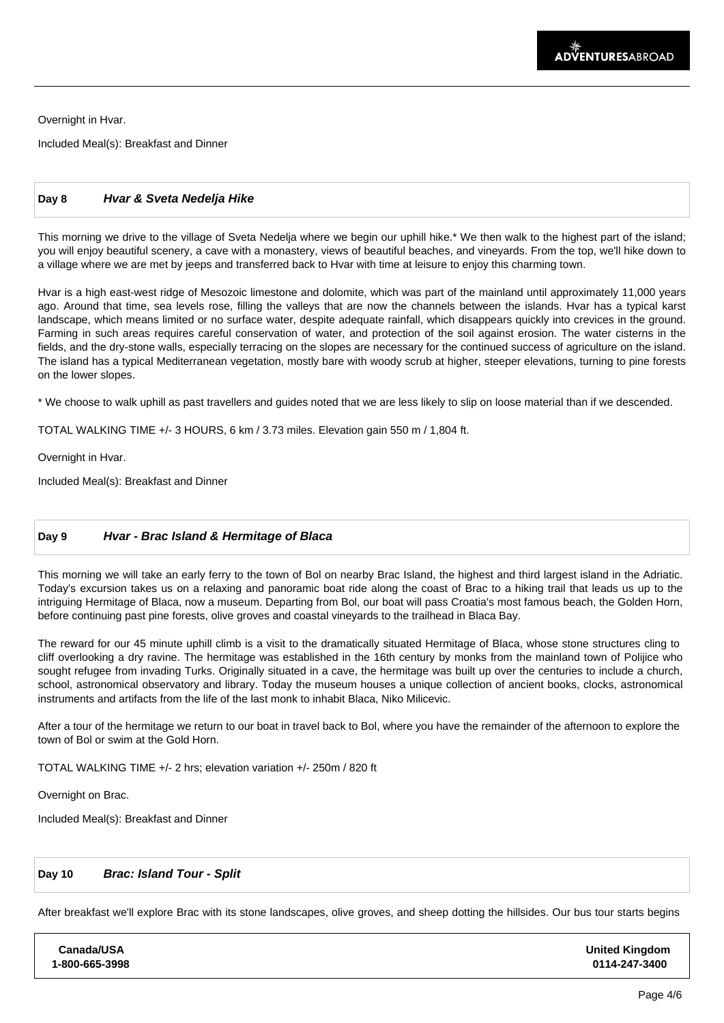Overnight in Hvar.

Included Meal(s): Breakfast and Dinner

#### **Day 8 Hvar & Sveta Nedelja Hike**

This morning we drive to the village of Sveta Nedelja where we begin our uphill hike.\* We then walk to the highest part of the island; you will enjoy beautiful scenery, a cave with a monastery, views of beautiful beaches, and vineyards. From the top, we'll hike down to a village where we are met by jeeps and transferred back to Hvar with time at leisure to enjoy this charming town.

Hvar is a high east-west ridge of Mesozoic limestone and dolomite, which was part of the mainland until approximately 11,000 years ago. Around that time, sea levels rose, filling the valleys that are now the channels between the islands. Hvar has a typical karst landscape, which means limited or no surface water, despite adequate rainfall, which disappears quickly into crevices in the ground. Farming in such areas requires careful conservation of water, and protection of the soil against erosion. The water cisterns in the fields, and the dry-stone walls, especially terracing on the slopes are necessary for the continued success of agriculture on the island. The island has a typical Mediterranean vegetation, mostly bare with woody scrub at higher, steeper elevations, turning to pine forests on the lower slopes.

\* We choose to walk uphill as past travellers and guides noted that we are less likely to slip on loose material than if we descended.

TOTAL WALKING TIME +/- 3 HOURS, 6 km / 3.73 miles. Elevation gain 550 m / 1,804 ft.

Overnight in Hvar.

Included Meal(s): Breakfast and Dinner

#### **Day 9 Hvar - Brac Island & Hermitage of Blaca**

This morning we will take an early ferry to the town of Bol on nearby Brac Island, the highest and third largest island in the Adriatic. Today's excursion takes us on a relaxing and panoramic boat ride along the coast of Brac to a hiking trail that leads us up to the intriguing Hermitage of Blaca, now a museum. Departing from Bol, our boat will pass Croatia's most famous beach, the Golden Horn, before continuing past pine forests, olive groves and coastal vineyards to the trailhead in Blaca Bay.

The reward for our 45 minute uphill climb is a visit to the dramatically situated Hermitage of Blaca, whose stone structures cling to cliff overlooking a dry ravine. The hermitage was established in the 16th century by monks from the mainland town of Polijice who sought refugee from invading Turks. Originally situated in a cave, the hermitage was built up over the centuries to include a church, school, astronomical observatory and library. Today the museum houses a unique collection of ancient books, clocks, astronomical instruments and artifacts from the life of the last monk to inhabit Blaca, Niko Milicevic.

After a tour of the hermitage we return to our boat in travel back to Bol, where you have the remainder of the afternoon to explore the town of Bol or swim at the Gold Horn.

 TOTAL WALKING TIME +/- 2 hrs; elevation variation +/- 250m / 820 ft

 Overnight on Brac.

**Canada/USA 1-800-665-3998**

Included Meal(s): Breakfast and Dinner

#### **Day 10 Brac: Island Tour - Split**

After breakfast we'll explore Brac with its stone landscapes, olive groves, and sheep dotting the hillsides. Our bus tour starts begins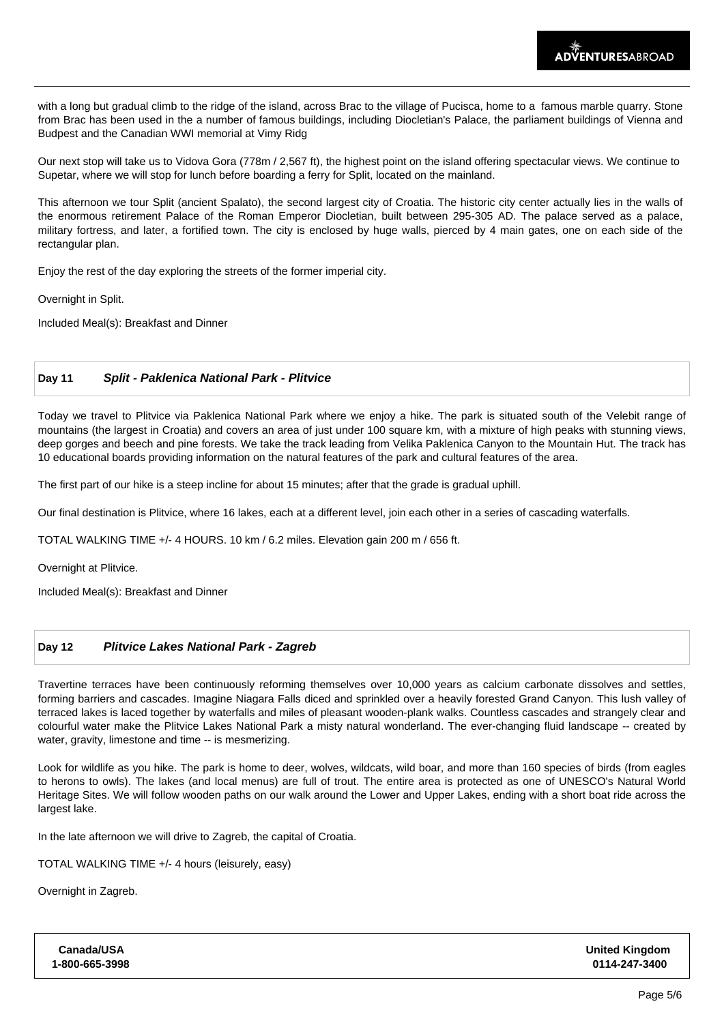with a long but gradual climb to the ridge of the island, across Brac to the village of Pucisca, home to a famous marble quarry. Stone from Brac has been used in the a number of famous buildings, including Diocletian's Palace, the parliament buildings of Vienna and Budpest and the Canadian WWI memorial at Vimy Ridg

 Our next stop will take us to Vidova Gora (778m / 2,567 ft), the highest point on the island offering spectacular views. We continue to Supetar, where we will stop for lunch before boarding a ferry for Split, located on the mainland.

This afternoon we tour Split (ancient Spalato), the second largest city of Croatia. The historic city center actually lies in the walls of the enormous retirement Palace of the Roman Emperor Diocletian, built between 295-305 AD. The palace served as a palace, military fortress, and later, a fortified town. The city is enclosed by huge walls, pierced by 4 main gates, one on each side of the rectangular plan.

Enjoy the rest of the day exploring the streets of the former imperial city.

Overnight in Split.

Included Meal(s): Breakfast and Dinner

#### **Day 11 Split - Paklenica National Park - Plitvice**

Today we travel to Plitvice via Paklenica National Park where we enjoy a hike. The park is situated south of the Velebit range of mountains (the largest in Croatia) and covers an area of just under 100 square km, with a mixture of high peaks with stunning views, deep gorges and beech and pine forests. We take the track leading from Velika Paklenica Canyon to the Mountain Hut. The track has 10 educational boards providing information on the natural features of the park and cultural features of the area.

The first part of our hike is a steep incline for about 15 minutes; after that the grade is gradual uphill.

Our final destination is Plitvice, where 16 lakes, each at a different level, join each other in a series of cascading waterfalls.

TOTAL WALKING TIME +/- 4 HOURS. 10 km / 6.2 miles. Elevation gain 200 m / 656 ft.

Overnight at Plitvice.

Included Meal(s): Breakfast and Dinner

#### **Day 12 Plitvice Lakes National Park - Zagreb**

Travertine terraces have been continuously reforming themselves over 10,000 years as calcium carbonate dissolves and settles, forming barriers and cascades. Imagine Niagara Falls diced and sprinkled over a heavily forested Grand Canyon. This lush valley of terraced lakes is laced together by waterfalls and miles of pleasant wooden-plank walks. Countless cascades and strangely clear and colourful water make the Plitvice Lakes National Park a misty natural wonderland. The ever-changing fluid landscape -- created by water, gravity, limestone and time -- is mesmerizing.

Look for wildlife as you hike. The park is home to deer, wolves, wildcats, wild boar, and more than 160 species of birds (from eagles to herons to owls). The lakes (and local menus) are full of trout. The entire area is protected as one of UNESCO's Natural World Heritage Sites. We will follow wooden paths on our walk around the Lower and Upper Lakes, ending with a short boat ride across the largest lake.

In the late afternoon we will drive to Zagreb, the capital of Croatia.

TOTAL WALKING TIME +/- 4 hours (leisurely, easy)

Overnight in Zagreb.

| <b>Canada/USA</b> | <b>United Kingdom</b> |
|-------------------|-----------------------|
| 1-800-665-3998    | 0114-247-3400         |